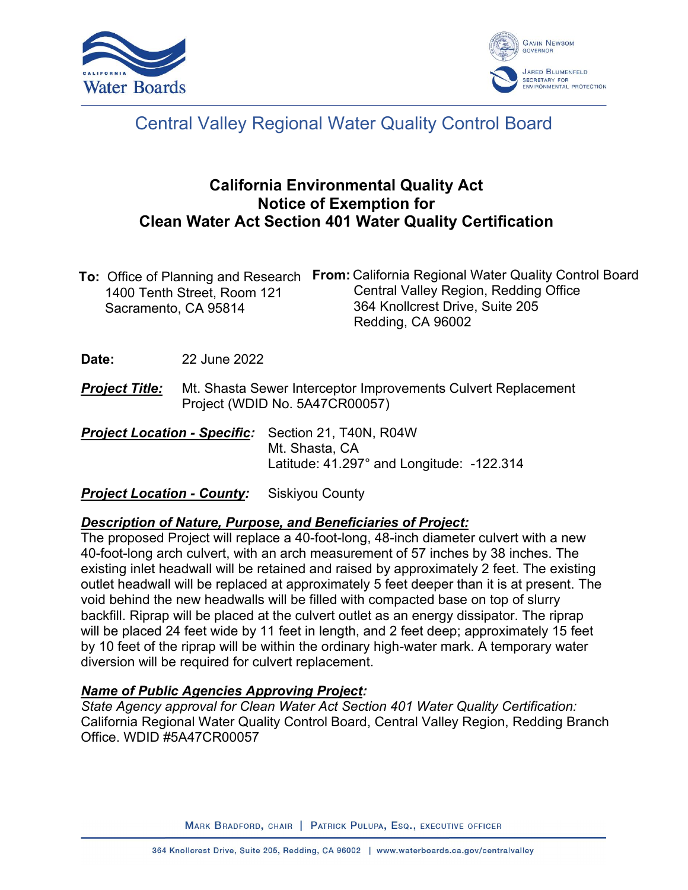



# Central Valley Regional Water Quality Control Board

## **California Environmental Quality Act Notice of Exemption for Clean Water Act Section 401 Water Quality Certification**

|                             | To: Office of Planning and Research From: California Regional Water Quality Control Board |
|-----------------------------|-------------------------------------------------------------------------------------------|
| 1400 Tenth Street, Room 121 | Central Valley Region, Redding Office                                                     |
| Sacramento, CA 95814        | 364 Knollcrest Drive, Suite 205                                                           |
|                             | Redding, CA 96002                                                                         |

**Date:** 22 June 2022

- **Project Title:** Mt. Shasta Sewer Interceptor Improvements Culvert Replacement Project (WDID No. 5A47CR00057)
- *Project Location - Specific:* Section 21, T40N, R04W Mt. Shasta, CA Latitude: 41.297° and Longitude: -122.314

#### **Project Location - County:** Siskiyou County

#### *Description of Nature, Purpose, and Beneficiaries of Project:*

The proposed Project will replace a 40-foot-long, 48-inch diameter culvert with a new 40-foot-long arch culvert, with an arch measurement of 57 inches by 38 inches. The existing inlet headwall will be retained and raised by approximately 2 feet. The existing outlet headwall will be replaced at approximately 5 feet deeper than it is at present. The void behind the new headwalls will be filled with compacted base on top of slurry backfill. Riprap will be placed at the culvert outlet as an energy dissipator. The riprap will be placed 24 feet wide by 11 feet in length, and 2 feet deep; approximately 15 feet by 10 feet of the riprap will be within the ordinary high-water mark. A temporary water diversion will be required for culvert replacement.

#### *Name of Public Agencies Approving Project:*

*State Agency approval for Clean Water Act Section 401 Water Quality Certification:* California Regional Water Quality Control Board, Central Valley Region, Redding Branch Office. WDID #5A47CR00057

MARK BRADFORD, CHAIR | PATRICK PULUPA, ESQ., EXECUTIVE OFFICER